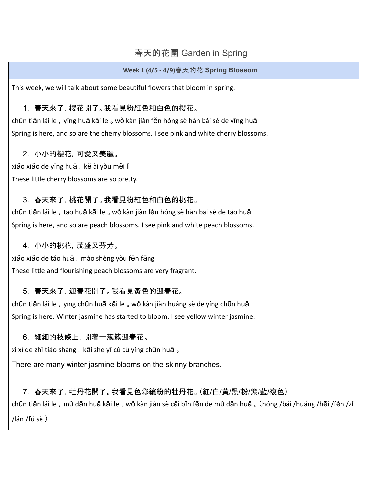# 春天的花園 Garden in Spring

#### **Week 1 (4/5 - 4/9)**春天的花 **Spring Blossom**

This week, we will talk about some beautiful flowers that bloom in spring.

## 1. 春天來了, 櫻花開了。我看見粉紅色和白色的櫻花。

chūn tiān lái le, yīng huā kāi le 。wǒ kàn jiàn fěn hóng sè hàn bái sè de yīng huā Spring is here, and so are the cherry blossoms. I see pink and white cherry blossoms.

#### 2. 小小的櫻花,可愛又美麗。

xiǎo xiǎo de yīng huā, kě ài yòu měi lì These little cherry blossoms are so pretty.

## 3. 春天來了,桃花開了。我看見粉紅色和白色的桃花。

chūn tiān lái le, táo huā kāi le 。 wǒ kàn jiàn fěn hóng sè hàn bái sè de táo huā Spring is here, and so are peach blossoms. I see pink and white peach blossoms.

#### 4. 小小的桃花,茂盛又芬芳。

xiǎo xiǎo de táo huā, mào shèng yòu fēn fāng These little and flourishing peach blossoms are very fragrant.

## 5. 春天來了,迎春花開了。我看見黃色的迎春花。

chūn tiān lái le, yíng chūn huā kāi le 。 wǒ kàn jiàn huáng sè de yíng chūn huā Spring is here. Winter jasmine has started to bloom. I see yellow winter jasmine.

## 6. 細細的枝條上,開著一簇簇迎春花。

xì xì de zhī tiáo shàng, kāi zhe yī cù cù yíng chūn huā 。

There are many winter jasmine blooms on the skinny branches.

7. 春天來了,牡丹花開了。我看見色彩繽紛的牡丹花。(紅/白/黃/黑/粉/紫/藍/複色) chūn tiān lái le ,mǔ dān huā kāi le 。wǒ kàn jiàn sè cǎi bīn fēn de mǔ dān huā 。(hóng /bái /huáng /hēi /fěn /zǐ /lán /fú sè )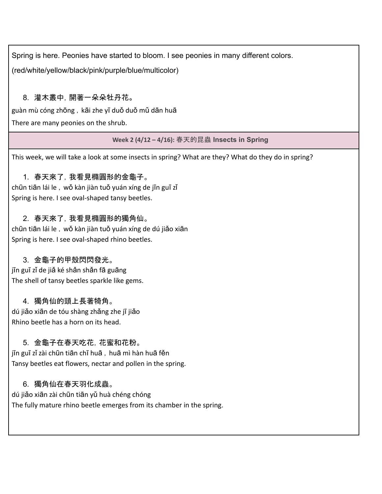Spring is here. Peonies have started to bloom. I see peonies in many different colors.

(red/white/yellow/black/pink/purple/blue/multicolor)

# 8. 灌木叢中,開著一朵朵牡丹花。

guàn mù cóng zhōng, kāi zhe yī duǒ duǒ mǔ dān huā

There are many peonies on the shrub.

**Week 2 (4/12 – 4/16):** 春天的昆蟲 **Insects in Spring**

This week, we will take a look at some insects in spring? What are they? What do they do in spring?

# 1. 春天來了,我看見橢圓形的金龜子。

chūn tiān lái le, wǒ kàn jiàn tuǒ yuán xíng de jīn guī zǐ Spring is here. I see oval-shaped tansy beetles.

# 2. 春天來了,我看見橢圓形的獨角仙。

chūn tiān lái le ,wǒ kàn jiàn tuǒ yuán xíng de dú jiǎo xiān Spring is here. I see oval-shaped rhino beetles.

# 3. 金龜子的甲殼閃閃發光。

jīn guī zǐ de jiǎ ké shǎn shǎn fā guāng The shell of tansy beetles sparkle like gems.

# 4. 獨角仙的頭上長著犄角。

dú jiǎo xiān de tóu shàng zhǎng zhe jī jiǎo Rhino beetle has a horn on its head.

# 5. 金龜子在春天吃花,花蜜和花粉。

jīn guī zǐ zài chūn tiān chī huā, huā mì hàn huā fěn Tansy beetles eat flowers, nectar and pollen in the spring.

# 6. 獨角仙在春天羽化成蟲。

dú jiǎo xiān zài chūn tiān yǔ huà chéng chóng The fully mature rhino beetle emerges from its chamber in the spring.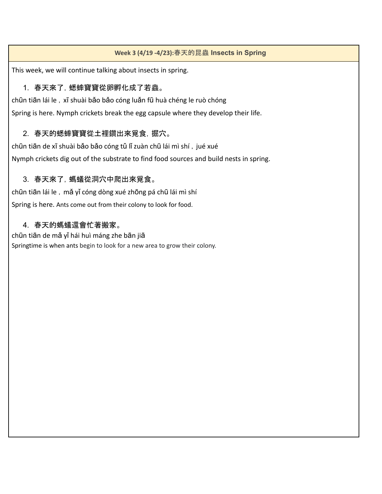#### **Week 3 (4/19 -4/23):**春天的昆蟲 **Insects in Spring**

This week, we will continue talking about insects in spring.

# 1. 春天來了,蟋蟀寶寶從卵孵化成了若蟲。

chūn tiān lái le, xī shuài bǎo bǎo cóng luǎn fū huà chéng le ruò chóng Spring is here. Nymph crickets break the egg capsule where they develop their life.

# 2. 春天的蟋蟀寶寶從土裡鑽出來覓食,掘穴。

chūn tiān de xī shuài bǎo bǎo cóng tǔ lǐ zuàn chū lái mì shí, jué xué Nymph crickets dig out of the substrate to find food sources and build nests in spring.

## 3. 春天來了,螞蟻從洞穴中爬出來覓食。

chūn tiān lái le, mǎ yǐ cóng dòng xué zhōng pá chū lái mì shí Spring is here. Ants come out from their colony to look for food.

## 4. 春天的螞蟻還會忙著搬家。

chūn tiān de mǎ yǐ hái huì máng zhe bān jiā Springtime is when ants begin to look for a new area to grow their colony.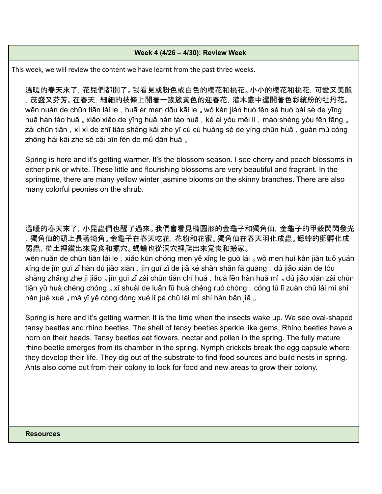#### **Week 4 (4/26 – 4/30): Review Week**

This week, we will review the content we have learnt from the past three weeks.

溫暖的春天來了,花兒們都開了。我看見或粉色或白色的櫻花和桃花。小小的櫻花和桃花,可愛又美麗 ,茂盛又芬芳。在春天,細細的枝條上開著一簇簇黃色的迎春花,灌木叢中還開著色彩繽紛的牡丹花。 wēn nuǎn de chūn tiān lái le, huā ér men dōu kāi le <sub>o</sub> wǒ kàn jiàn huò fěn sè huò bái sè de yīng huā hàn táo huā 。 xiǎo xiǎo de yīng huā hàn táo huā, kě ài yòu měi lì, mào shèng yòu fēn fāng 。 zài chūn tiān, xì xì de zhī tiáo shàng kāi zhe yī cù cù huáng sè de yíng chūn huā, guàn mù cóng zhōng hái kāi zhe sè cǎi bīn fēn de mǔ dān huā 。

Spring is here and it's getting warmer. It's the blossom season. I see cherry and peach blossoms in either pink or white. These little and flourishing blossoms are very beautiful and fragrant. In the springtime, there are many yellow winter jasmine blooms on the skinny branches. There are also many colorful peonies on the shrub.

溫暖的春天來了, 小昆蟲們也醒了過來。我們會看見橢圓形的金龜子和獨角仙, 金龜子的甲殼閃閃發光 ,獨角仙的頭上長著犄角。金龜子在春天吃花,花粉和花蜜。獨角仙在春天羽化成蟲。蟋蟀的卵孵化成 弱蟲,從土裡鑽出來覓食和掘穴。螞蟻也從洞穴裡爬出來覓食和搬家。

wēn nuǎn de chūn tiān lái le, xiǎo kūn chóng men yě xǐng le guò lái 。wǒ men huì kàn jiàn tuǒ yuán xíng de jīn guī zǐ hàn dú jiǎo xiān, jīn guī zǐ de jiǎ ké shǎn shǎn fā guāng, dú jiǎo xiān de tóu shàng zhǎng zhe jī jiǎo 。jīn guī zǐ zài chūn tiān chī huā, huā fěn hàn huā mì 。dú jiǎo xiān zài chūn tiān yǔ huà chéng chóng 。 xī shuài de luǎn fū huà chéng ruò chóng, cóng tǔ lǐ zuàn chū lái mì shí hàn jué xué 。mǎ yǐ yě cóng dòng xué lǐ pá chū lái mì shí hàn bān jiā 。

Spring is here and it's getting warmer. It is the time when the insects wake up. We see oval-shaped tansy beetles and rhino beetles. The shell of tansy beetles sparkle like gems. Rhino beetles have a horn on their heads. Tansy beetles eat flowers, nectar and pollen in the spring. The fully mature rhino beetle emerges from its chamber in the spring. Nymph crickets break the egg capsule where they develop their life. They dig out of the substrate to find food sources and build nests in spring. Ants also come out from their colony to look for food and new areas to grow their colony.